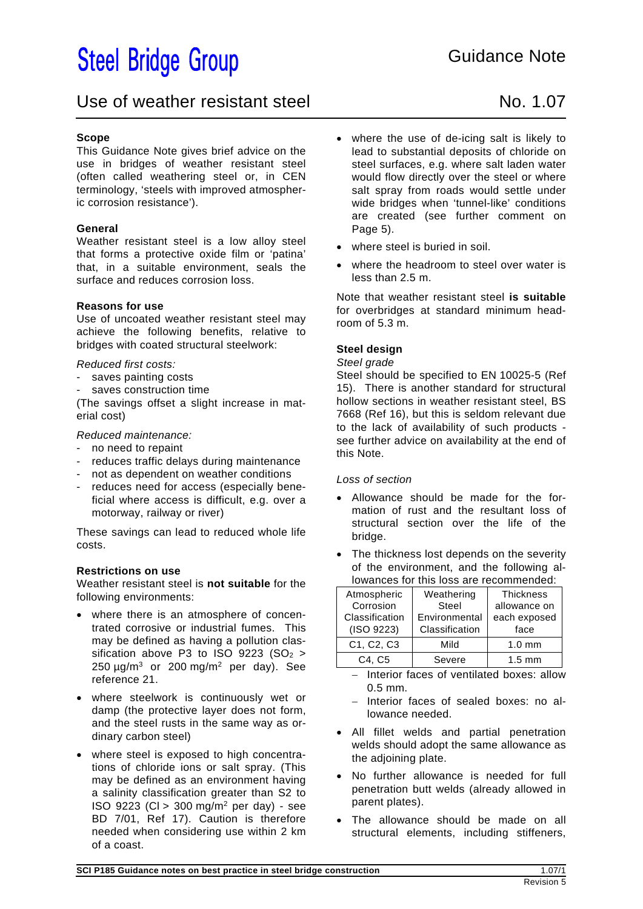# **Steel Bridge Group**

### Use of weather resistant steel No. 1.07

#### **Scope**

This Guidance Note gives brief advice on the use in bridges of weather resistant steel (often called weathering steel or, in CEN terminology, 'steels with improved atmospheric corrosion resistance').

#### **General**

Weather resistant steel is a low alloy steel that forms a protective oxide film or 'patina' that, in a suitable environment, seals the surface and reduces corrosion loss.

#### **Reasons for use**

Use of uncoated weather resistant steel may achieve the following benefits, relative to bridges with coated structural steelwork:

*Reduced first costs:* 

- saves painting costs
- saves construction time

(The savings offset a slight increase in material cost)

*Reduced maintenance:* 

- no need to repaint
- reduces traffic delays during maintenance
- not as dependent on weather conditions
- reduces need for access (especially beneficial where access is difficult, e.g. over a motorway, railway or river)

These savings can lead to reduced whole life costs.

#### **Restrictions on use**

Weather resistant steel is **not suitable** for the following environments:

- where there is an atmosphere of concentrated corrosive or industrial fumes. This may be defined as having a pollution classification above P3 to ISO 9223 (SO $_2$  >  $250 \mu g/m^3$  or 200 mg/m<sup>2</sup> per day). See reference 21.
- where steelwork is continuously wet or damp (the protective layer does not form, and the steel rusts in the same way as ordinary carbon steel)
- where steel is exposed to high concentrations of chloride ions or salt spray. (This may be defined as an environment having a salinity classification greater than S2 to ISO 9223 (Cl > 300 mg/m2 per day) - see BD 7/01, Ref 17). Caution is therefore needed when considering use within 2 km of a coast.
- where the use of de-icing salt is likely to lead to substantial deposits of chloride on steel surfaces, e.g. where salt laden water would flow directly over the steel or where salt spray from roads would settle under wide bridges when 'tunnel-like' conditions are created (see further comment on Page 5).
- where steel is buried in soil.
- where the headroom to steel over water is less than 2.5 m.

Note that weather resistant steel **is suitable** for overbridges at standard minimum headroom of 5.3 m.

#### **Steel design**

*Steel grade* 

Steel should be specified to EN 10025-5 (Ref 15). There is another standard for structural hollow sections in weather resistant steel, BS 7668 (Ref 16), but this is seldom relevant due to the lack of availability of such products see further advice on availability at the end of this Note.

#### *Loss of section*

- Allowance should be made for the formation of rust and the resultant loss of structural section over the life of the bridge.
- The thickness lost depends on the severity of the environment, and the following allowances for this loss are recommended:

| Atmospheric                                      | Weathering     | <b>Thickness</b> |
|--------------------------------------------------|----------------|------------------|
| Corrosion                                        | Steel          | allowance on     |
| Classification                                   | Environmental  | each exposed     |
| (ISO 9223)                                       | Classification | face             |
| C <sub>1</sub> , C <sub>2</sub> , C <sub>3</sub> | Mild           | $1.0 \text{ mm}$ |
| C4. C5                                           | Severe         | $1.5 \text{ mm}$ |

- Interior faces of ventilated boxes: allow 0.5 mm.
- Interior faces of sealed boxes: no allowance needed.
- All fillet welds and partial penetration welds should adopt the same allowance as the adjoining plate.
- No further allowance is needed for full penetration butt welds (already allowed in parent plates).
- The allowance should be made on all structural elements, including stiffeners,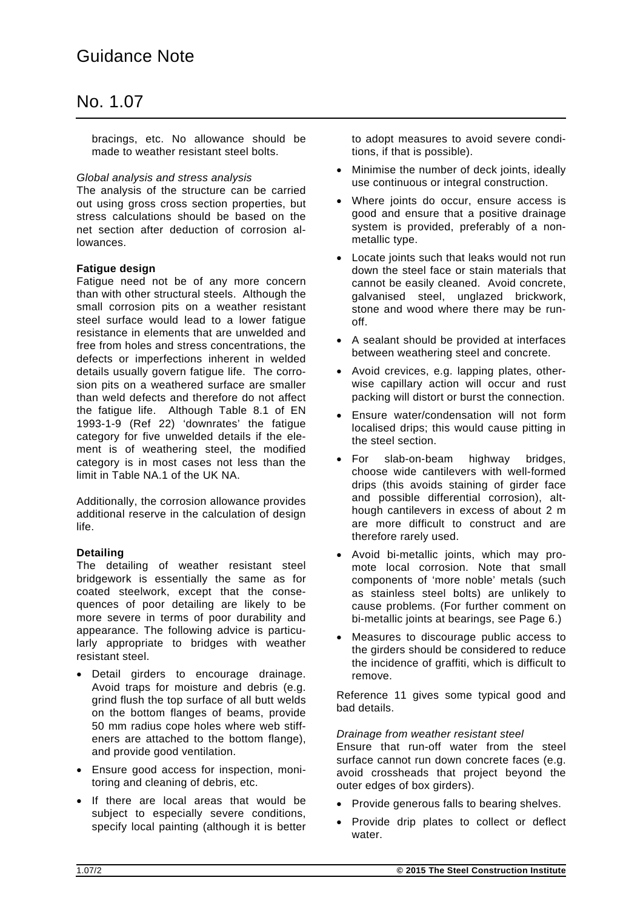bracings, etc. No allowance should be made to weather resistant steel bolts.

#### *Global analysis and stress analysis*

The analysis of the structure can be carried out using gross cross section properties, but stress calculations should be based on the net section after deduction of corrosion allowances.

#### **Fatigue design**

Fatigue need not be of any more concern than with other structural steels. Although the small corrosion pits on a weather resistant steel surface would lead to a lower fatigue resistance in elements that are unwelded and free from holes and stress concentrations, the defects or imperfections inherent in welded details usually govern fatigue life. The corrosion pits on a weathered surface are smaller than weld defects and therefore do not affect the fatigue life. Although Table 8.1 of EN 1993-1-9 (Ref 22) 'downrates' the fatigue category for five unwelded details if the element is of weathering steel, the modified category is in most cases not less than the limit in Table NA.1 of the UK NA.

Additionally, the corrosion allowance provides additional reserve in the calculation of design life.

#### **Detailing**

The detailing of weather resistant steel bridgework is essentially the same as for coated steelwork, except that the consequences of poor detailing are likely to be more severe in terms of poor durability and appearance. The following advice is particularly appropriate to bridges with weather resistant steel.

- Detail girders to encourage drainage. Avoid traps for moisture and debris (e.g. grind flush the top surface of all butt welds on the bottom flanges of beams, provide 50 mm radius cope holes where web stiffeners are attached to the bottom flange), and provide good ventilation.
- Ensure good access for inspection, monitoring and cleaning of debris, etc.
- If there are local areas that would be subject to especially severe conditions, specify local painting (although it is better

to adopt measures to avoid severe conditions, if that is possible).

- Minimise the number of deck joints, ideally use continuous or integral construction.
- Where joints do occur, ensure access is good and ensure that a positive drainage system is provided, preferably of a nonmetallic type.
- Locate joints such that leaks would not run down the steel face or stain materials that cannot be easily cleaned. Avoid concrete, galvanised steel, unglazed brickwork, stone and wood where there may be runoff.
- A sealant should be provided at interfaces between weathering steel and concrete.
- Avoid crevices, e.g. lapping plates, otherwise capillary action will occur and rust packing will distort or burst the connection.
- Ensure water/condensation will not form localised drips; this would cause pitting in the steel section.
- For slab-on-beam highway bridges, choose wide cantilevers with well-formed drips (this avoids staining of girder face and possible differential corrosion), although cantilevers in excess of about 2 m are more difficult to construct and are therefore rarely used.
- Avoid bi-metallic joints, which may promote local corrosion. Note that small components of 'more noble' metals (such as stainless steel bolts) are unlikely to cause problems. (For further comment on bi-metallic joints at bearings, see Page 6.)
- Measures to discourage public access to the girders should be considered to reduce the incidence of graffiti, which is difficult to remove.

Reference 11 gives some typical good and bad details.

#### *Drainage from weather resistant steel*

Ensure that run-off water from the steel surface cannot run down concrete faces (e.g. avoid crossheads that project beyond the outer edges of box girders).

- Provide generous falls to bearing shelves.
- Provide drip plates to collect or deflect water.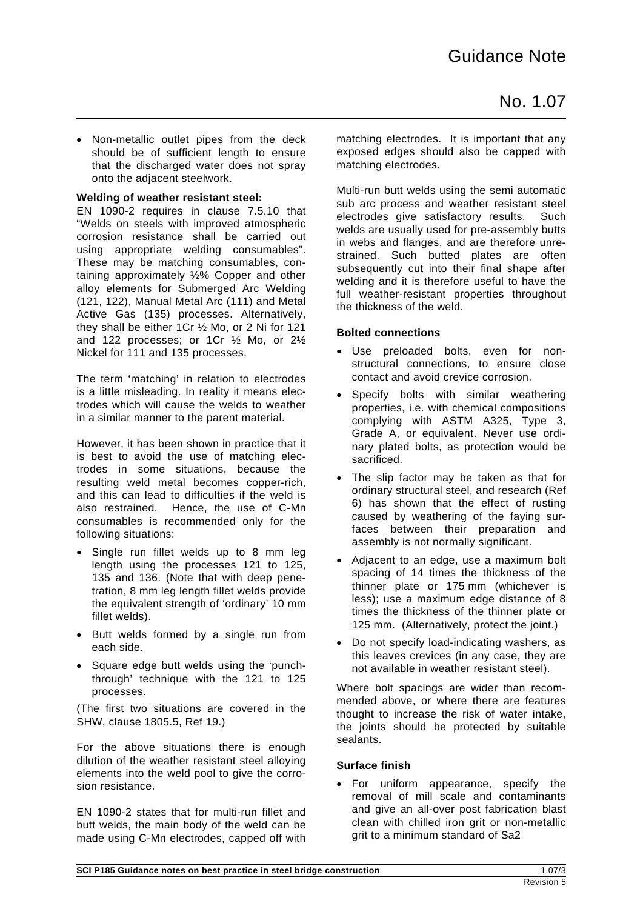Non-metallic outlet pipes from the deck should be of sufficient length to ensure that the discharged water does not spray onto the adjacent steelwork.

#### **Welding of weather resistant steel:**

EN 1090-2 requires in clause 7.5.10 that "Welds on steels with improved atmospheric corrosion resistance shall be carried out using appropriate welding consumables". These may be matching consumables, containing approximately ½% Copper and other alloy elements for Submerged Arc Welding (121, 122), Manual Metal Arc (111) and Metal Active Gas (135) processes. Alternatively, they shall be either 1Cr ½ Mo, or 2 Ni for 121 and 122 processes; or 1Cr ½ Mo, or 2½ Nickel for 111 and 135 processes.

The term 'matching' in relation to electrodes is a little misleading. In reality it means electrodes which will cause the welds to weather in a similar manner to the parent material.

However, it has been shown in practice that it is best to avoid the use of matching electrodes in some situations, because the resulting weld metal becomes copper-rich, and this can lead to difficulties if the weld is also restrained. Hence, the use of C-Mn consumables is recommended only for the following situations:

- Single run fillet welds up to 8 mm leg length using the processes 121 to 125, 135 and 136. (Note that with deep penetration, 8 mm leg length fillet welds provide the equivalent strength of 'ordinary' 10 mm fillet welds).
- Butt welds formed by a single run from each side.
- Square edge butt welds using the 'punchthrough' technique with the 121 to 125 processes.

(The first two situations are covered in the SHW, clause 1805.5, Ref 19.)

For the above situations there is enough dilution of the weather resistant steel alloying elements into the weld pool to give the corrosion resistance.

EN 1090-2 states that for multi-run fillet and butt welds, the main body of the weld can be made using C-Mn electrodes, capped off with matching electrodes. It is important that any exposed edges should also be capped with matching electrodes.

Multi-run butt welds using the semi automatic sub arc process and weather resistant steel electrodes give satisfactory results. Such welds are usually used for pre-assembly butts in webs and flanges, and are therefore unrestrained. Such butted plates are often subsequently cut into their final shape after welding and it is therefore useful to have the full weather-resistant properties throughout the thickness of the weld.

#### **Bolted connections**

- Use preloaded bolts, even for nonstructural connections, to ensure close contact and avoid crevice corrosion.
- Specify bolts with similar weathering properties, i.e. with chemical compositions complying with ASTM A325, Type 3, Grade A, or equivalent. Never use ordinary plated bolts, as protection would be sacrificed.
- The slip factor may be taken as that for ordinary structural steel, and research (Ref 6) has shown that the effect of rusting caused by weathering of the faying surfaces between their preparation and assembly is not normally significant.
- Adjacent to an edge, use a maximum bolt spacing of 14 times the thickness of the thinner plate or 175 mm (whichever is less); use a maximum edge distance of 8 times the thickness of the thinner plate or 125 mm. (Alternatively, protect the joint.)
- Do not specify load-indicating washers, as this leaves crevices (in any case, they are not available in weather resistant steel).

Where bolt spacings are wider than recommended above, or where there are features thought to increase the risk of water intake, the joints should be protected by suitable sealants.

#### **Surface finish**

 For uniform appearance, specify the removal of mill scale and contaminants and give an all-over post fabrication blast clean with chilled iron grit or non-metallic grit to a minimum standard of Sa2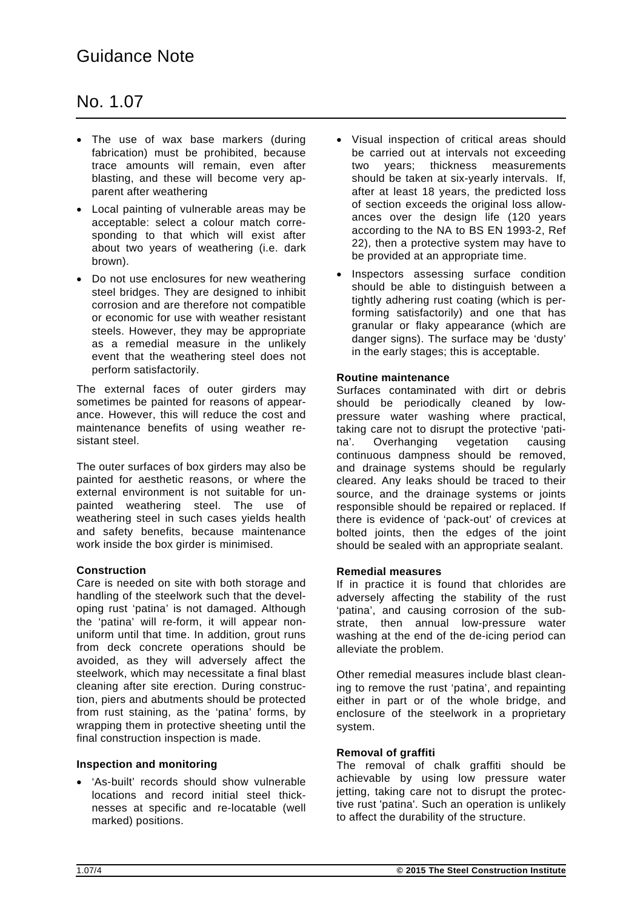- The use of wax base markers (during fabrication) must be prohibited, because trace amounts will remain, even after blasting, and these will become very apparent after weathering
- Local painting of vulnerable areas may be acceptable: select a colour match corresponding to that which will exist after about two years of weathering (i.e. dark brown).
- Do not use enclosures for new weathering steel bridges. They are designed to inhibit corrosion and are therefore not compatible or economic for use with weather resistant steels. However, they may be appropriate as a remedial measure in the unlikely event that the weathering steel does not perform satisfactorily.

The external faces of outer girders may sometimes be painted for reasons of appearance. However, this will reduce the cost and maintenance benefits of using weather resistant steel.

The outer surfaces of box girders may also be painted for aesthetic reasons, or where the external environment is not suitable for unpainted weathering steel. The use of weathering steel in such cases yields health and safety benefits, because maintenance work inside the box girder is minimised.

#### **Construction**

Care is needed on site with both storage and handling of the steelwork such that the developing rust 'patina' is not damaged. Although the 'patina' will re-form, it will appear nonuniform until that time. In addition, grout runs from deck concrete operations should be avoided, as they will adversely affect the steelwork, which may necessitate a final blast cleaning after site erection. During construction, piers and abutments should be protected from rust staining, as the 'patina' forms, by wrapping them in protective sheeting until the final construction inspection is made.

#### **Inspection and monitoring**

 'As-built' records should show vulnerable locations and record initial steel thicknesses at specific and re-locatable (well marked) positions.

- Visual inspection of critical areas should be carried out at intervals not exceeding two years; thickness measurements should be taken at six-yearly intervals. If, after at least 18 years, the predicted loss of section exceeds the original loss allowances over the design life (120 years according to the NA to BS EN 1993-2, Ref 22), then a protective system may have to be provided at an appropriate time.
- Inspectors assessing surface condition should be able to distinguish between a tightly adhering rust coating (which is performing satisfactorily) and one that has granular or flaky appearance (which are danger signs). The surface may be 'dusty' in the early stages; this is acceptable.

#### **Routine maintenance**

Surfaces contaminated with dirt or debris should be periodically cleaned by lowpressure water washing where practical, taking care not to disrupt the protective 'patina'. Overhanging vegetation causing continuous dampness should be removed, and drainage systems should be regularly cleared. Any leaks should be traced to their source, and the drainage systems or joints responsible should be repaired or replaced. If there is evidence of 'pack-out' of crevices at bolted joints, then the edges of the joint should be sealed with an appropriate sealant.

#### **Remedial measures**

If in practice it is found that chlorides are adversely affecting the stability of the rust 'patina', and causing corrosion of the substrate, then annual low-pressure water washing at the end of the de-icing period can alleviate the problem.

Other remedial measures include blast cleaning to remove the rust 'patina', and repainting either in part or of the whole bridge, and enclosure of the steelwork in a proprietary system.

#### **Removal of graffiti**

The removal of chalk graffiti should be achievable by using low pressure water jetting, taking care not to disrupt the protective rust 'patina'. Such an operation is unlikely to affect the durability of the structure.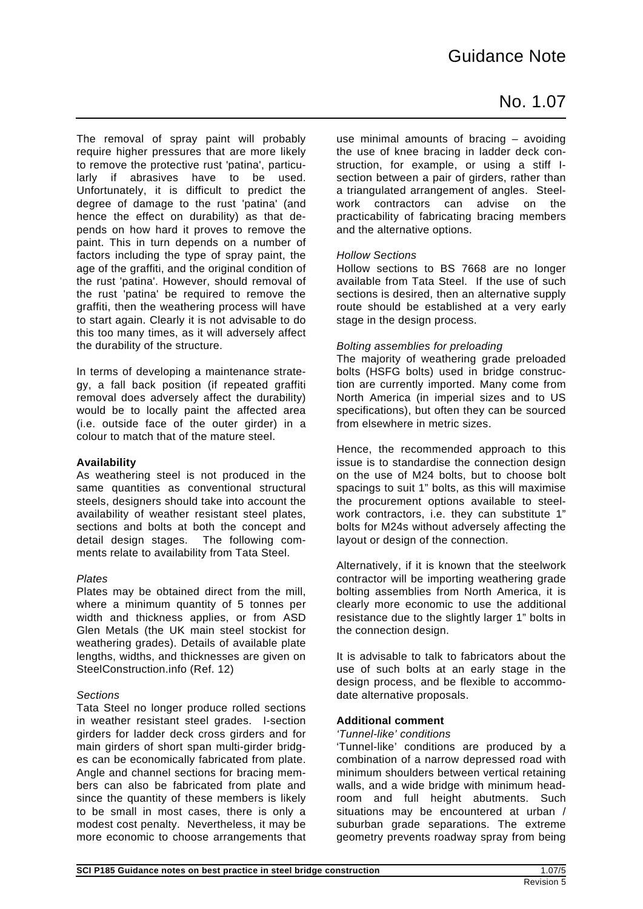The removal of spray paint will probably require higher pressures that are more likely to remove the protective rust 'patina', particularly if abrasives have to be used. Unfortunately, it is difficult to predict the degree of damage to the rust 'patina' (and hence the effect on durability) as that depends on how hard it proves to remove the paint. This in turn depends on a number of factors including the type of spray paint, the age of the graffiti, and the original condition of the rust 'patina'. However, should removal of the rust 'patina' be required to remove the graffiti, then the weathering process will have to start again. Clearly it is not advisable to do this too many times, as it will adversely affect the durability of the structure.

In terms of developing a maintenance strategy, a fall back position (if repeated graffiti removal does adversely affect the durability) would be to locally paint the affected area (i.e. outside face of the outer girder) in a colour to match that of the mature steel.

#### **Availability**

As weathering steel is not produced in the same quantities as conventional structural steels, designers should take into account the availability of weather resistant steel plates, sections and bolts at both the concept and detail design stages. The following comments relate to availability from Tata Steel.

#### *Plates*

Plates may be obtained direct from the mill, where a minimum quantity of 5 tonnes per width and thickness applies, or from ASD Glen Metals (the UK main steel stockist for weathering grades). Details of available plate lengths, widths, and thicknesses are given on SteelConstruction.info (Ref. 12)

#### *Sections*

Tata Steel no longer produce rolled sections in weather resistant steel grades. I-section girders for ladder deck cross girders and for main girders of short span multi-girder bridges can be economically fabricated from plate. Angle and channel sections for bracing members can also be fabricated from plate and since the quantity of these members is likely to be small in most cases, there is only a modest cost penalty. Nevertheless, it may be more economic to choose arrangements that use minimal amounts of bracing – avoiding the use of knee bracing in ladder deck construction, for example, or using a stiff Isection between a pair of girders, rather than a triangulated arrangement of angles. Steelwork contractors can advise on the practicability of fabricating bracing members and the alternative options.

#### *Hollow Sections*

Hollow sections to BS 7668 are no longer available from Tata Steel. If the use of such sections is desired, then an alternative supply route should be established at a very early stage in the design process.

#### *Bolting assemblies for preloading*

The majority of weathering grade preloaded bolts (HSFG bolts) used in bridge construction are currently imported. Many come from North America (in imperial sizes and to US specifications), but often they can be sourced from elsewhere in metric sizes.

Hence, the recommended approach to this issue is to standardise the connection design on the use of M24 bolts, but to choose bolt spacings to suit 1" bolts, as this will maximise the procurement options available to steelwork contractors, i.e. they can substitute 1" bolts for M24s without adversely affecting the layout or design of the connection.

Alternatively, if it is known that the steelwork contractor will be importing weathering grade bolting assemblies from North America, it is clearly more economic to use the additional resistance due to the slightly larger 1" bolts in the connection design.

It is advisable to talk to fabricators about the use of such bolts at an early stage in the design process, and be flexible to accommodate alternative proposals.

#### **Additional comment**

#### *'Tunnel-like' conditions*

'Tunnel-like' conditions are produced by a combination of a narrow depressed road with minimum shoulders between vertical retaining walls, and a wide bridge with minimum headroom and full height abutments. Such situations may be encountered at urban / suburban grade separations. The extreme geometry prevents roadway spray from being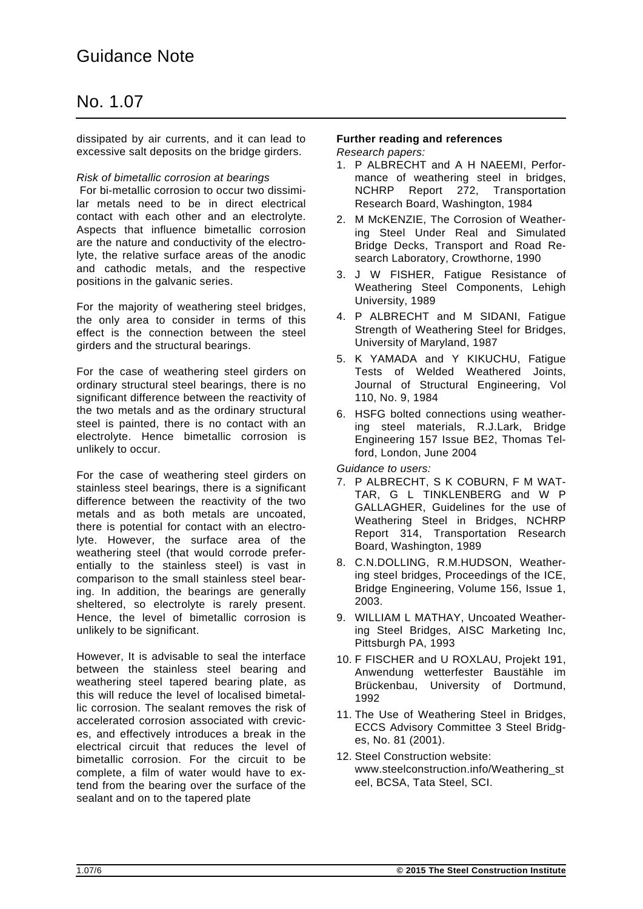### Guidance Note

### No. 1.07

dissipated by air currents, and it can lead to excessive salt deposits on the bridge girders.

#### *Risk of bimetallic corrosion at bearings*

 For bi-metallic corrosion to occur two dissimilar metals need to be in direct electrical contact with each other and an electrolyte. Aspects that influence bimetallic corrosion are the nature and conductivity of the electrolyte, the relative surface areas of the anodic and cathodic metals, and the respective positions in the galvanic series.

For the majority of weathering steel bridges, the only area to consider in terms of this effect is the connection between the steel girders and the structural bearings.

For the case of weathering steel girders on ordinary structural steel bearings, there is no significant difference between the reactivity of the two metals and as the ordinary structural steel is painted, there is no contact with an electrolyte. Hence bimetallic corrosion is unlikely to occur.

For the case of weathering steel girders on stainless steel bearings, there is a significant difference between the reactivity of the two metals and as both metals are uncoated, there is potential for contact with an electrolyte. However, the surface area of the weathering steel (that would corrode preferentially to the stainless steel) is vast in comparison to the small stainless steel bearing. In addition, the bearings are generally sheltered, so electrolyte is rarely present. Hence, the level of bimetallic corrosion is unlikely to be significant.

However, It is advisable to seal the interface between the stainless steel bearing and weathering steel tapered bearing plate, as this will reduce the level of localised bimetallic corrosion. The sealant removes the risk of accelerated corrosion associated with crevices, and effectively introduces a break in the electrical circuit that reduces the level of bimetallic corrosion. For the circuit to be complete, a film of water would have to extend from the bearing over the surface of the sealant and on to the tapered plate

### **Further reading and references**

*Research papers:*

- 1. P ALBRECHT and A H NAEEMI, Performance of weathering steel in bridges, NCHRP Report 272, Transportation Research Board, Washington, 1984
- 2. M McKENZIE, The Corrosion of Weathering Steel Under Real and Simulated Bridge Decks, Transport and Road Research Laboratory, Crowthorne, 1990
- 3. J W FISHER, Fatigue Resistance of Weathering Steel Components, Lehigh University, 1989
- 4. P ALBRECHT and M SIDANI, Fatigue Strength of Weathering Steel for Bridges, University of Maryland, 1987
- 5. K YAMADA and Y KIKUCHU, Fatigue Tests of Welded Weathered Joints, Journal of Structural Engineering, Vol 110, No. 9, 1984
- 6. HSFG bolted connections using weathering steel materials, R.J.Lark, Bridge Engineering 157 Issue BE2, Thomas Telford, London, June 2004

*Guidance to users:* 

- 7. P ALBRECHT, S K COBURN, F M WAT-TAR, G L TINKLENBERG and W P GALLAGHER, Guidelines for the use of Weathering Steel in Bridges, NCHRP Report 314, Transportation Research Board, Washington, 1989
- 8. C.N.DOLLING, R.M.HUDSON, Weathering steel bridges, Proceedings of the ICE, Bridge Engineering, Volume 156, Issue 1, 2003.
- 9. WILLIAM L MATHAY, Uncoated Weathering Steel Bridges, AISC Marketing Inc, Pittsburgh PA, 1993
- 10. F FISCHER and U ROXLAU, Projekt 191, Anwendung wetterfester Baustähle im Brückenbau, University of Dortmund, 1992
- 11. The Use of Weathering Steel in Bridges, ECCS Advisory Committee 3 Steel Bridges, No. 81 (2001).
- 12. Steel Construction website: www.steelconstruction.info/Weathering\_st eel, BCSA, Tata Steel, SCI.